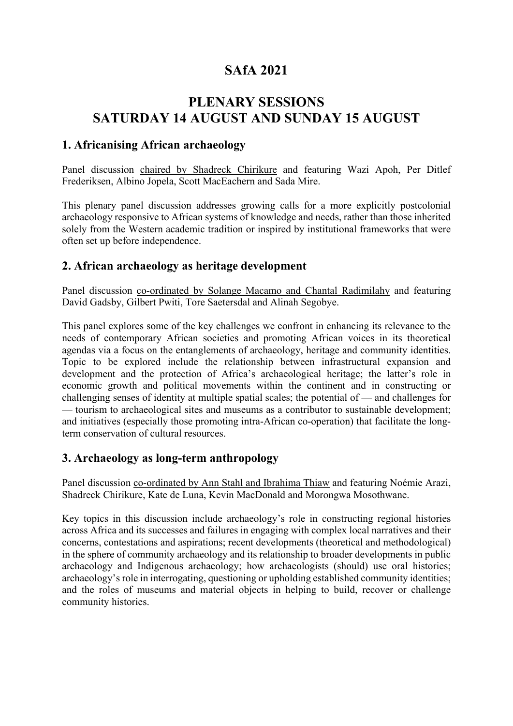# **SAfA 2021**

# **PLENARY SESSIONS SATURDAY 14 AUGUST AND SUNDAY 15 AUGUST**

## **1. Africanising African archaeology**

Panel discussion chaired by Shadreck Chirikure and featuring Wazi Apoh, Per Ditlef Frederiksen, Albino Jopela, Scott MacEachern and Sada Mire.

This plenary panel discussion addresses growing calls for a more explicitly postcolonial archaeology responsive to African systems of knowledge and needs, rather than those inherited solely from the Western academic tradition or inspired by institutional frameworks that were often set up before independence.

## **2. African archaeology as heritage development**

Panel discussion co-ordinated by Solange Macamo and Chantal Radimilahy and featuring David Gadsby, Gilbert Pwiti, Tore Saetersdal and Alinah Segobye.

This panel explores some of the key challenges we confront in enhancing its relevance to the needs of contemporary African societies and promoting African voices in its theoretical agendas via a focus on the entanglements of archaeology, heritage and community identities. Topic to be explored include the relationship between infrastructural expansion and development and the protection of Africa's archaeological heritage; the latter's role in economic growth and political movements within the continent and in constructing or challenging senses of identity at multiple spatial scales; the potential of — and challenges for — tourism to archaeological sites and museums as a contributor to sustainable development; and initiatives (especially those promoting intra-African co-operation) that facilitate the longterm conservation of cultural resources.

## **3. Archaeology as long-term anthropology**

Panel discussion co-ordinated by Ann Stahl and Ibrahima Thiaw and featuring Noémie Arazi, Shadreck Chirikure, Kate de Luna, Kevin MacDonald and Morongwa Mosothwane.

Key topics in this discussion include archaeology's role in constructing regional histories across Africa and its successes and failures in engaging with complex local narratives and their concerns, contestations and aspirations; recent developments (theoretical and methodological) in the sphere of community archaeology and its relationship to broader developments in public archaeology and Indigenous archaeology; how archaeologists (should) use oral histories; archaeology's role in interrogating, questioning or upholding established community identities; and the roles of museums and material objects in helping to build, recover or challenge community histories.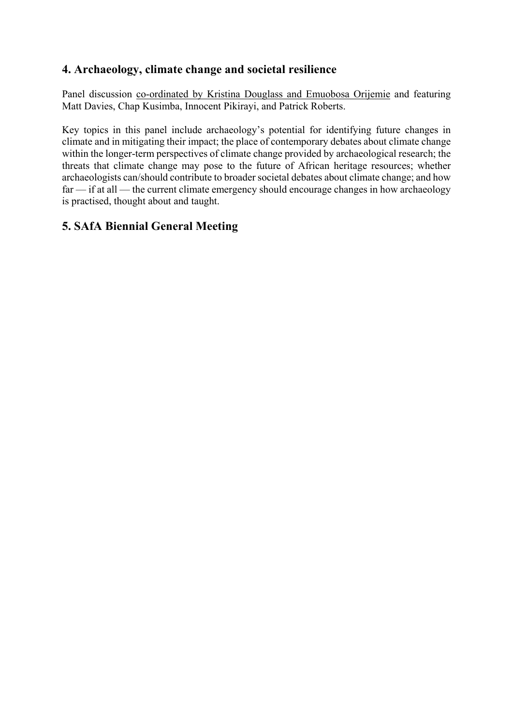## **4. Archaeology, climate change and societal resilience**

Panel discussion co-ordinated by Kristina Douglass and Emuobosa Orijemie and featuring Matt Davies, Chap Kusimba, Innocent Pikirayi, and Patrick Roberts.

Key topics in this panel include archaeology's potential for identifying future changes in climate and in mitigating their impact; the place of contemporary debates about climate change within the longer-term perspectives of climate change provided by archaeological research; the threats that climate change may pose to the future of African heritage resources; whether archaeologists can/should contribute to broader societal debates about climate change; and how far — if at all — the current climate emergency should encourage changes in how archaeology is practised, thought about and taught.

# **5. SAfA Biennial General Meeting**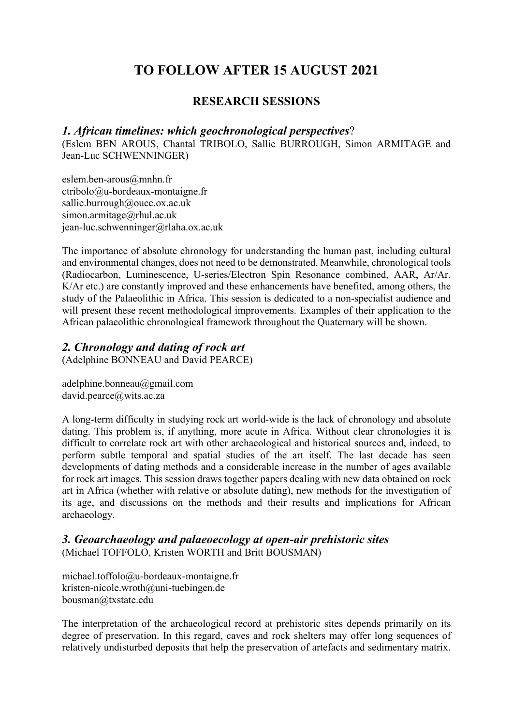# **TO FOLLOW AFTER 15 AUGUST 2021**

## **RESEARCH SESSIONS**

#### *1. African timelines: which geochronological perspectives*?

(Eslem BEN AROUS, Chantal TRIBOLO, Sallie BURROUGH, Simon ARMITAGE and Jean-Luc SCHWENNINGER)

eslem.ben-arous@mnhn.fr ctribolo@u-bordeaux-montaigne.fr sallie.burrough@ouce.ox.ac.uk simon.armitage@rhul.ac.uk jean-luc.schwenninger@rlaha.ox.ac.uk

The importance of absolute chronology for understanding the human past, including cultural and environmental changes, does not need to be demonstrated. Meanwhile, chronological tools (Radiocarbon, Luminescence, U-series/Electron Spin Resonance combined, AAR, Ar/Ar, K/Ar etc.) are constantly improved and these enhancements have benefited, among others, the study of the Palaeolithic in Africa. This session is dedicated to a non-specialist audience and will present these recent methodological improvements. Examples of their application to the African palaeolithic chronological framework throughout the Quaternary will be shown.

### *2. Chronology and dating of rock art*

(Adelphine BONNEAU and David PEARCE)

adelphine.bonneau@gmail.com david.pearce@wits.ac.za

A long-term difficulty in studying rock art world-wide is the lack of chronology and absolute dating. This problem is, if anything, more acute in Africa. Without clear chronologies it is difficult to correlate rock art with other archaeological and historical sources and, indeed, to perform subtle temporal and spatial studies of the art itself. The last decade has seen developments of dating methods and a considerable increase in the number of ages available for rock art images. This session draws together papers dealing with new data obtained on rock art in Africa (whether with relative or absolute dating), new methods for the investigation of its age, and discussions on the methods and their results and implications for African archaeology.

#### *3. Geoarchaeology and palaeoecology at open-air prehistoric sites*  (Michael TOFFOLO, Kristen WORTH and Britt BOUSMAN)

michael.toffolo@u-bordeaux-montaigne.fr kristen-nicole.wroth@uni-tuebingen.de bousman@txstate.edu

The interpretation of the archaeological record at prehistoric sites depends primarily on its degree of preservation. In this regard, caves and rock shelters may offer long sequences of relatively undisturbed deposits that help the preservation of artefacts and sedimentary matrix.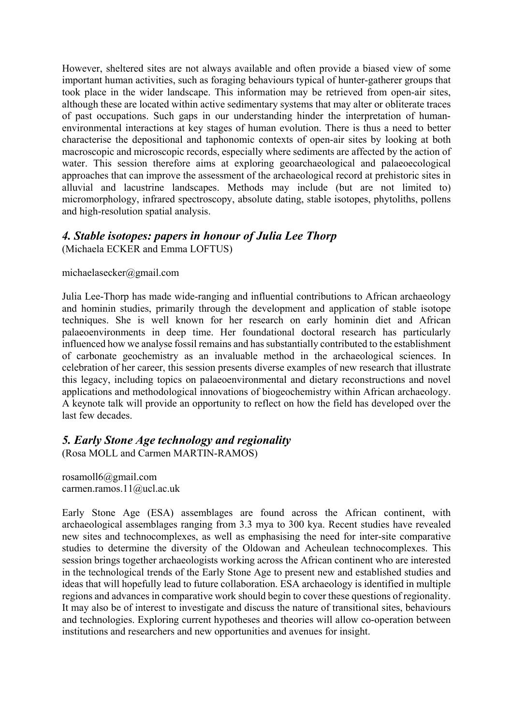However, sheltered sites are not always available and often provide a biased view of some important human activities, such as foraging behaviours typical of hunter-gatherer groups that took place in the wider landscape. This information may be retrieved from open-air sites, although these are located within active sedimentary systems that may alter or obliterate traces of past occupations. Such gaps in our understanding hinder the interpretation of humanenvironmental interactions at key stages of human evolution. There is thus a need to better characterise the depositional and taphonomic contexts of open-air sites by looking at both macroscopic and microscopic records, especially where sediments are affected by the action of water. This session therefore aims at exploring geoarchaeological and palaeoecological approaches that can improve the assessment of the archaeological record at prehistoric sites in alluvial and lacustrine landscapes. Methods may include (but are not limited to) micromorphology, infrared spectroscopy, absolute dating, stable isotopes, phytoliths, pollens and high-resolution spatial analysis.

#### *4. Stable isotopes: papers in honour of Julia Lee Thorp* (Michaela ECKER and Emma LOFTUS)

#### michaelasecker@gmail.com

Julia Lee-Thorp has made wide-ranging and influential contributions to African archaeology and hominin studies, primarily through the development and application of stable isotope techniques. She is well known for her research on early hominin diet and African palaeoenvironments in deep time. Her foundational doctoral research has particularly influenced how we analyse fossil remains and has substantially contributed to the establishment of carbonate geochemistry as an invaluable method in the archaeological sciences. In celebration of her career, this session presents diverse examples of new research that illustrate this legacy, including topics on palaeoenvironmental and dietary reconstructions and novel applications and methodological innovations of biogeochemistry within African archaeology. A keynote talk will provide an opportunity to reflect on how the field has developed over the last few decades.

#### *5. Early Stone Age technology and regionality*

(Rosa MOLL and Carmen MARTIN-RAMOS)

rosamoll6@gmail.com carmen.ramos.11@ucl.ac.uk

Early Stone Age (ESA) assemblages are found across the African continent, with archaeological assemblages ranging from 3.3 mya to 300 kya. Recent studies have revealed new sites and technocomplexes, as well as emphasising the need for inter-site comparative studies to determine the diversity of the Oldowan and Acheulean technocomplexes. This session brings together archaeologists working across the African continent who are interested in the technological trends of the Early Stone Age to present new and established studies and ideas that will hopefully lead to future collaboration. ESA archaeology is identified in multiple regions and advances in comparative work should begin to cover these questions of regionality. It may also be of interest to investigate and discuss the nature of transitional sites, behaviours and technologies. Exploring current hypotheses and theories will allow co-operation between institutions and researchers and new opportunities and avenues for insight.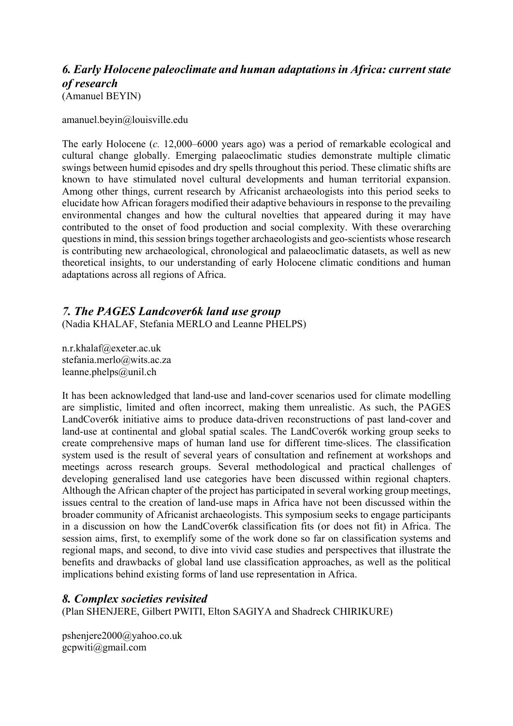## *6. Early Holocene paleoclimate and human adaptations in Africa: current state of research* (Amanuel BEYIN)

amanuel.beyin@louisville.edu

The early Holocene (*c.* 12,000–6000 years ago) was a period of remarkable ecological and cultural change globally. Emerging palaeoclimatic studies demonstrate multiple climatic swings between humid episodes and dry spells throughout this period. These climatic shifts are known to have stimulated novel cultural developments and human territorial expansion. Among other things, current research by Africanist archaeologists into this period seeks to elucidate how African foragers modified their adaptive behaviours in response to the prevailing environmental changes and how the cultural novelties that appeared during it may have contributed to the onset of food production and social complexity. With these overarching questions in mind, this session brings together archaeologists and geo-scientists whose research is contributing new archaeological, chronological and palaeoclimatic datasets, as well as new theoretical insights, to our understanding of early Holocene climatic conditions and human adaptations across all regions of Africa.

### *7. The PAGES Landcover6k land use group*

(Nadia KHALAF, Stefania MERLO and Leanne PHELPS)

n.r.khalaf@exeter.ac.uk stefania.merlo@wits.ac.za leanne.phelps@unil.ch

It has been acknowledged that land-use and land-cover scenarios used for climate modelling are simplistic, limited and often incorrect, making them unrealistic. As such, the PAGES LandCover6k initiative aims to produce data-driven reconstructions of past land-cover and land-use at continental and global spatial scales. The LandCover6k working group seeks to create comprehensive maps of human land use for different time-slices. The classification system used is the result of several years of consultation and refinement at workshops and meetings across research groups. Several methodological and practical challenges of developing generalised land use categories have been discussed within regional chapters. Although the African chapter of the project has participated in several working group meetings, issues central to the creation of land-use maps in Africa have not been discussed within the broader community of Africanist archaeologists. This symposium seeks to engage participants in a discussion on how the LandCover6k classification fits (or does not fit) in Africa. The session aims, first, to exemplify some of the work done so far on classification systems and regional maps, and second, to dive into vivid case studies and perspectives that illustrate the benefits and drawbacks of global land use classification approaches, as well as the political implications behind existing forms of land use representation in Africa.

#### *8. Complex societies revisited*

(Plan SHENJERE, Gilbert PWITI, Elton SAGIYA and Shadreck CHIRIKURE)

pshenjere2000@yahoo.co.uk gcpwiti@gmail.com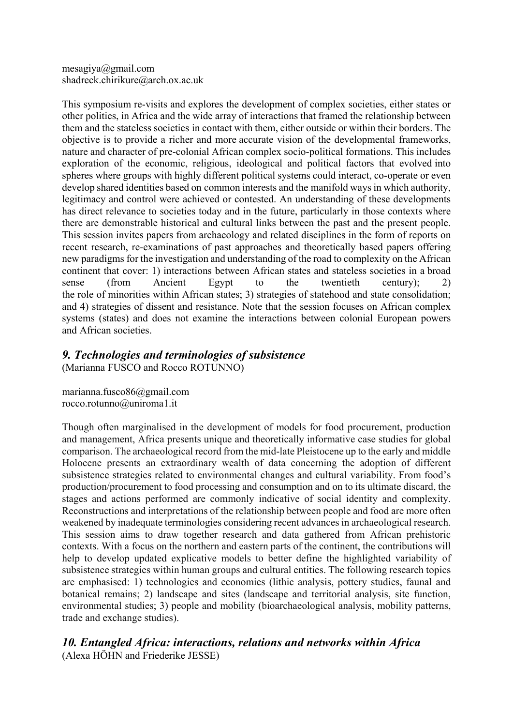mesagiya@gmail.com shadreck.chirikure@arch.ox.ac.uk

This symposium re-visits and explores the development of complex societies, either states or other polities, in Africa and the wide array of interactions that framed the relationship between them and the stateless societies in contact with them, either outside or within their borders. The objective is to provide a richer and more accurate vision of the developmental frameworks, nature and character of pre-colonial African complex socio-political formations. This includes exploration of the economic, religious, ideological and political factors that evolved into spheres where groups with highly different political systems could interact, co-operate or even develop shared identities based on common interests and the manifold ways in which authority, legitimacy and control were achieved or contested. An understanding of these developments has direct relevance to societies today and in the future, particularly in those contexts where there are demonstrable historical and cultural links between the past and the present people. This session invites papers from archaeology and related disciplines in the form of reports on recent research, re-examinations of past approaches and theoretically based papers offering new paradigms for the investigation and understanding of the road to complexity on the African continent that cover: 1) interactions between African states and stateless societies in a broad sense (from Ancient Egypt to the twentieth century); 2) the role of minorities within African states; 3) strategies of statehood and state consolidation; and 4) strategies of dissent and resistance. Note that the session focuses on African complex systems (states) and does not examine the interactions between colonial European powers and African societies.

## *9. Technologies and terminologies of subsistence*

(Marianna FUSCO and Rocco ROTUNNO)

marianna.fusco86@gmail.com rocco.rotunno@uniroma1.it

Though often marginalised in the development of models for food procurement, production and management, Africa presents unique and theoretically informative case studies for global comparison. The archaeological record from the mid-late Pleistocene up to the early and middle Holocene presents an extraordinary wealth of data concerning the adoption of different subsistence strategies related to environmental changes and cultural variability. From food's production/procurement to food processing and consumption and on to its ultimate discard, the stages and actions performed are commonly indicative of social identity and complexity. Reconstructions and interpretations of the relationship between people and food are more often weakened by inadequate terminologies considering recent advances in archaeological research. This session aims to draw together research and data gathered from African prehistoric contexts. With a focus on the northern and eastern parts of the continent, the contributions will help to develop updated explicative models to better define the highlighted variability of subsistence strategies within human groups and cultural entities. The following research topics are emphasised: 1) technologies and economies (lithic analysis, pottery studies, faunal and botanical remains; 2) landscape and sites (landscape and territorial analysis, site function, environmental studies; 3) people and mobility (bioarchaeological analysis, mobility patterns, trade and exchange studies).

*10. Entangled Africa: interactions, relations and networks within Africa* (Alexa HÖHN and Friederike JESSE)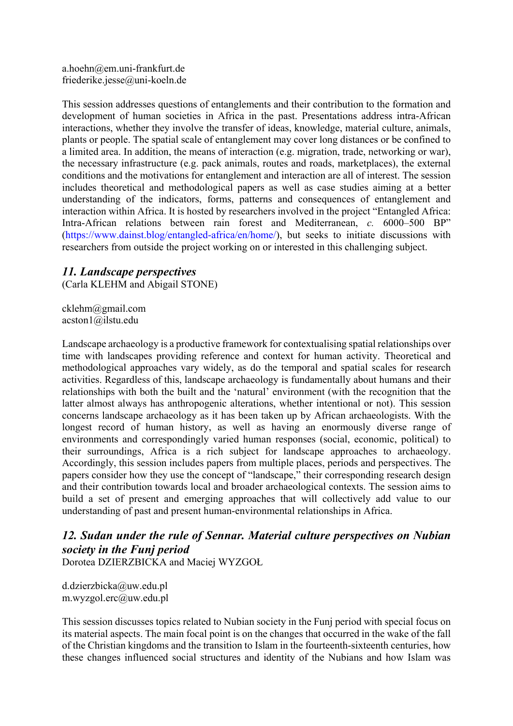a.hoehn@em.uni-frankfurt.de friederike.jesse@uni-koeln.de

This session addresses questions of entanglements and their contribution to the formation and development of human societies in Africa in the past. Presentations address intra-African interactions, whether they involve the transfer of ideas, knowledge, material culture, animals, plants or people. The spatial scale of entanglement may cover long distances or be confined to a limited area. In addition, the means of interaction (e.g. migration, trade, networking or war), the necessary infrastructure (e.g. pack animals, routes and roads, marketplaces), the external conditions and the motivations for entanglement and interaction are all of interest. The session includes theoretical and methodological papers as well as case studies aiming at a better understanding of the indicators, forms, patterns and consequences of entanglement and interaction within Africa. It is hosted by researchers involved in the project "Entangled Africa: Intra-African relations between rain forest and Mediterranean, *c.* 6000–500 BP" (https://www.dainst.blog/entangled-africa/en/home/), but seeks to initiate discussions with researchers from outside the project working on or interested in this challenging subject.

#### *11. Landscape perspectives*

(Carla KLEHM and Abigail STONE)

cklehm@gmail.com acston1@ilstu.edu

Landscape archaeology is a productive framework for contextualising spatial relationships over time with landscapes providing reference and context for human activity. Theoretical and methodological approaches vary widely, as do the temporal and spatial scales for research activities. Regardless of this, landscape archaeology is fundamentally about humans and their relationships with both the built and the 'natural' environment (with the recognition that the latter almost always has anthropogenic alterations, whether intentional or not). This session concerns landscape archaeology as it has been taken up by African archaeologists. With the longest record of human history, as well as having an enormously diverse range of environments and correspondingly varied human responses (social, economic, political) to their surroundings, Africa is a rich subject for landscape approaches to archaeology. Accordingly, this session includes papers from multiple places, periods and perspectives. The papers consider how they use the concept of "landscape," their corresponding research design and their contribution towards local and broader archaeological contexts. The session aims to build a set of present and emerging approaches that will collectively add value to our understanding of past and present human-environmental relationships in Africa.

# *12. Sudan under the rule of Sennar. Material culture perspectives on Nubian society in the Funj period*

Dorotea DZIERZBICKA and Maciej WYZGOŁ

d.dzierzbicka@uw.edu.pl m.wyzgol.erc@uw.edu.pl

This session discusses topics related to Nubian society in the Funj period with special focus on its material aspects. The main focal point is on the changes that occurred in the wake of the fall of the Christian kingdoms and the transition to Islam in the fourteenth-sixteenth centuries, how these changes influenced social structures and identity of the Nubians and how Islam was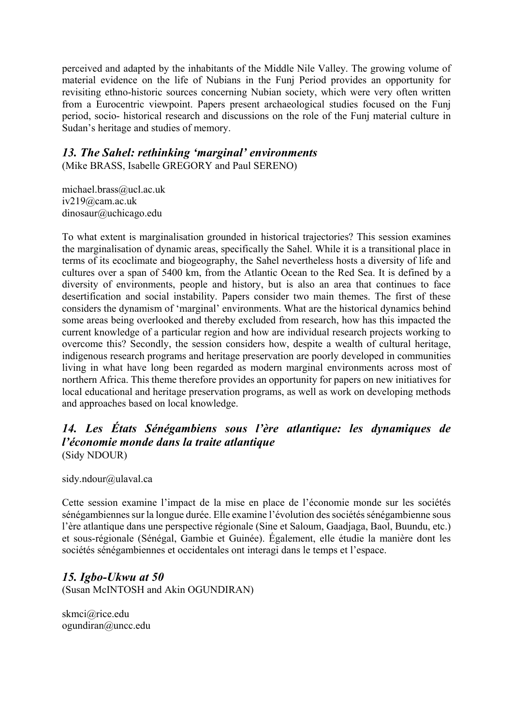perceived and adapted by the inhabitants of the Middle Nile Valley. The growing volume of material evidence on the life of Nubians in the Funj Period provides an opportunity for revisiting ethno-historic sources concerning Nubian society, which were very often written from a Eurocentric viewpoint. Papers present archaeological studies focused on the Funj period, socio- historical research and discussions on the role of the Funj material culture in Sudan's heritage and studies of memory.

## *13. The Sahel: rethinking 'marginal' environments*

(Mike BRASS, Isabelle GREGORY and Paul SERENO)

michael.brass@ucl.ac.uk iv219@cam.ac.uk dinosaur@uchicago.edu

To what extent is marginalisation grounded in historical trajectories? This session examines the marginalisation of dynamic areas, specifically the Sahel. While it is a transitional place in terms of its ecoclimate and biogeography, the Sahel nevertheless hosts a diversity of life and cultures over a span of 5400 km, from the Atlantic Ocean to the Red Sea. It is defined by a diversity of environments, people and history, but is also an area that continues to face desertification and social instability. Papers consider two main themes. The first of these considers the dynamism of 'marginal' environments. What are the historical dynamics behind some areas being overlooked and thereby excluded from research, how has this impacted the current knowledge of a particular region and how are individual research projects working to overcome this? Secondly, the session considers how, despite a wealth of cultural heritage, indigenous research programs and heritage preservation are poorly developed in communities living in what have long been regarded as modern marginal environments across most of northern Africa. This theme therefore provides an opportunity for papers on new initiatives for local educational and heritage preservation programs, as well as work on developing methods and approaches based on local knowledge.

## *14. Les États Sénégambiens sous l'ère atlantique: les dynamiques de l'économie monde dans la traite atlantique*  (Sidy NDOUR)

sidy.ndour@ulaval.ca

Cette session examine l'impact de la mise en place de l'économie monde sur les sociétés sénégambiennes sur la longue durée. Elle examine l'évolution des sociétés sénégambienne sous l'ère atlantique dans une perspective régionale (Sine et Saloum, Gaadjaga, Baol, Buundu, etc.) et sous-régionale (Sénégal, Gambie et Guinée). Également, elle étudie la manière dont les sociétés sénégambiennes et occidentales ont interagi dans le temps et l'espace.

## *15. Igbo-Ukwu at 50*

(Susan McINTOSH and Akin OGUNDIRAN)

skmci@rice.edu ogundiran@uncc.edu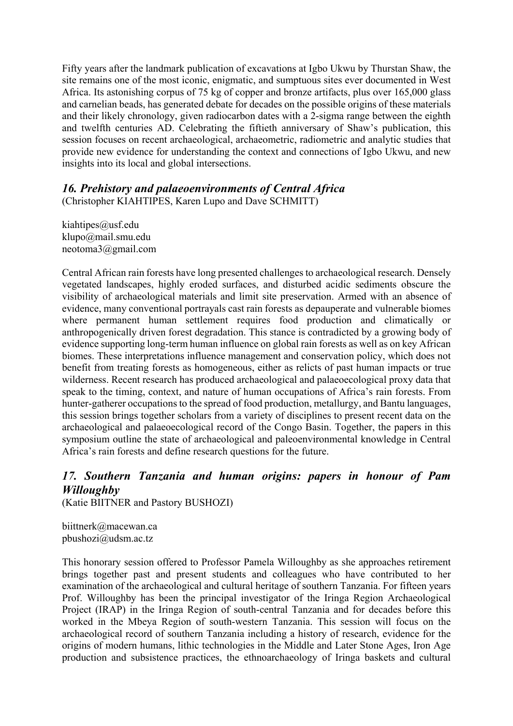Fifty years after the landmark publication of excavations at Igbo Ukwu by Thurstan Shaw, the site remains one of the most iconic, enigmatic, and sumptuous sites ever documented in West Africa. Its astonishing corpus of 75 kg of copper and bronze artifacts, plus over 165,000 glass and carnelian beads, has generated debate for decades on the possible origins of these materials and their likely chronology, given radiocarbon dates with a 2-sigma range between the eighth and twelfth centuries AD. Celebrating the fiftieth anniversary of Shaw's publication, this session focuses on recent archaeological, archaeometric, radiometric and analytic studies that provide new evidence for understanding the context and connections of Igbo Ukwu, and new insights into its local and global intersections.

## *16. Prehistory and palaeoenvironments of Central Africa*

(Christopher KIAHTIPES, Karen Lupo and Dave SCHMITT)

kiahtipes@usf.edu klupo@mail.smu.edu neotoma3@gmail.com

Central African rain forests have long presented challenges to archaeological research. Densely vegetated landscapes, highly eroded surfaces, and disturbed acidic sediments obscure the visibility of archaeological materials and limit site preservation. Armed with an absence of evidence, many conventional portrayals cast rain forests as depauperate and vulnerable biomes where permanent human settlement requires food production and climatically or anthropogenically driven forest degradation. This stance is contradicted by a growing body of evidence supporting long-term human influence on global rain forests as well as on key African biomes. These interpretations influence management and conservation policy, which does not benefit from treating forests as homogeneous, either as relicts of past human impacts or true wilderness. Recent research has produced archaeological and palaeoecological proxy data that speak to the timing, context, and nature of human occupations of Africa's rain forests. From hunter-gatherer occupations to the spread of food production, metallurgy, and Bantu languages, this session brings together scholars from a variety of disciplines to present recent data on the archaeological and palaeoecological record of the Congo Basin. Together, the papers in this symposium outline the state of archaeological and paleoenvironmental knowledge in Central Africa's rain forests and define research questions for the future.

# *17. Southern Tanzania and human origins: papers in honour of Pam Willoughby*

(Katie BIITNER and Pastory BUSHOZI)

biittnerk@macewan.ca pbushozi@udsm.ac.tz

This honorary session offered to Professor Pamela Willoughby as she approaches retirement brings together past and present students and colleagues who have contributed to her examination of the archaeological and cultural heritage of southern Tanzania. For fifteen years Prof. Willoughby has been the principal investigator of the Iringa Region Archaeological Project (IRAP) in the Iringa Region of south-central Tanzania and for decades before this worked in the Mbeya Region of south-western Tanzania. This session will focus on the archaeological record of southern Tanzania including a history of research, evidence for the origins of modern humans, lithic technologies in the Middle and Later Stone Ages, Iron Age production and subsistence practices, the ethnoarchaeology of Iringa baskets and cultural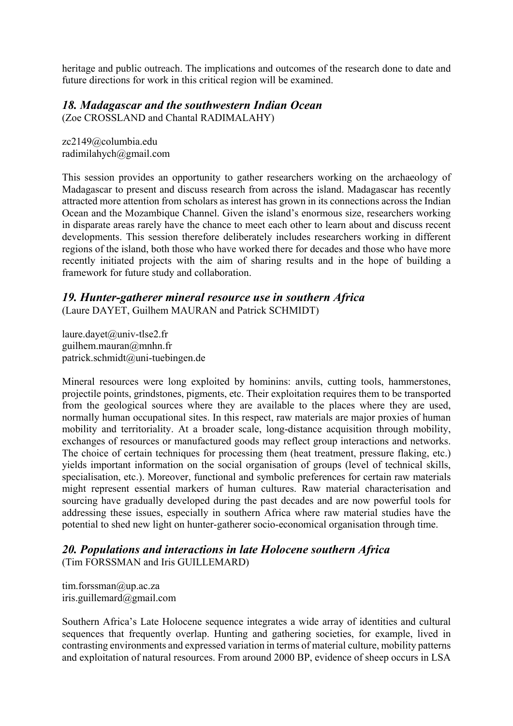heritage and public outreach. The implications and outcomes of the research done to date and future directions for work in this critical region will be examined.

### *18. Madagascar and the southwestern Indian Ocean*

(Zoe CROSSLAND and Chantal RADIMALAHY)

zc2149@columbia.edu radimilahych@gmail.com

This session provides an opportunity to gather researchers working on the archaeology of Madagascar to present and discuss research from across the island. Madagascar has recently attracted more attention from scholars as interest has grown in its connections across the Indian Ocean and the Mozambique Channel. Given the island's enormous size, researchers working in disparate areas rarely have the chance to meet each other to learn about and discuss recent developments. This session therefore deliberately includes researchers working in different regions of the island, both those who have worked there for decades and those who have more recently initiated projects with the aim of sharing results and in the hope of building a framework for future study and collaboration.

### *19. Hunter-gatherer mineral resource use in southern Africa*

(Laure DAYET, Guilhem MAURAN and Patrick SCHMIDT)

laure.dayet@univ-tlse2.fr guilhem.mauran@mnhn.fr patrick.schmidt@uni-tuebingen.de

Mineral resources were long exploited by hominins: anvils, cutting tools, hammerstones, projectile points, grindstones, pigments, etc. Their exploitation requires them to be transported from the geological sources where they are available to the places where they are used, normally human occupational sites. In this respect, raw materials are major proxies of human mobility and territoriality. At a broader scale, long-distance acquisition through mobility, exchanges of resources or manufactured goods may reflect group interactions and networks. The choice of certain techniques for processing them (heat treatment, pressure flaking, etc.) yields important information on the social organisation of groups (level of technical skills, specialisation, etc.). Moreover, functional and symbolic preferences for certain raw materials might represent essential markers of human cultures. Raw material characterisation and sourcing have gradually developed during the past decades and are now powerful tools for addressing these issues, especially in southern Africa where raw material studies have the potential to shed new light on hunter-gatherer socio-economical organisation through time.

#### *20. Populations and interactions in late Holocene southern Africa* (Tim FORSSMAN and Iris GUILLEMARD)

tim.forssman@up.ac.za iris.guillemard@gmail.com

Southern Africa's Late Holocene sequence integrates a wide array of identities and cultural sequences that frequently overlap. Hunting and gathering societies, for example, lived in contrasting environments and expressed variation in terms of material culture, mobility patterns and exploitation of natural resources. From around 2000 BP, evidence of sheep occurs in LSA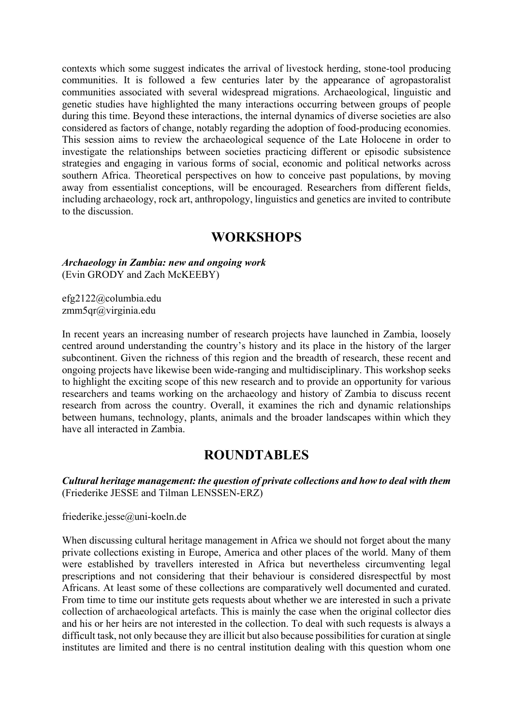contexts which some suggest indicates the arrival of livestock herding, stone-tool producing communities. It is followed a few centuries later by the appearance of agropastoralist communities associated with several widespread migrations. Archaeological, linguistic and genetic studies have highlighted the many interactions occurring between groups of people during this time. Beyond these interactions, the internal dynamics of diverse societies are also considered as factors of change, notably regarding the adoption of food-producing economies. This session aims to review the archaeological sequence of the Late Holocene in order to investigate the relationships between societies practicing different or episodic subsistence strategies and engaging in various forms of social, economic and political networks across southern Africa. Theoretical perspectives on how to conceive past populations, by moving away from essentialist conceptions, will be encouraged. Researchers from different fields, including archaeology, rock art, anthropology, linguistics and genetics are invited to contribute to the discussion.

## **WORKSHOPS**

*Archaeology in Zambia: new and ongoing work* (Evin GRODY and Zach McKEEBY)

efg2122@columbia.edu zmm5qr@virginia.edu

In recent years an increasing number of research projects have launched in Zambia, loosely centred around understanding the country's history and its place in the history of the larger subcontinent. Given the richness of this region and the breadth of research, these recent and ongoing projects have likewise been wide-ranging and multidisciplinary. This workshop seeks to highlight the exciting scope of this new research and to provide an opportunity for various researchers and teams working on the archaeology and history of Zambia to discuss recent research from across the country. Overall, it examines the rich and dynamic relationships between humans, technology, plants, animals and the broader landscapes within which they have all interacted in Zambia.

## **ROUNDTABLES**

*Cultural heritage management: the question of private collections and how to deal with them* (Friederike JESSE and Tilman LENSSEN-ERZ)

friederike.jesse@uni-koeln.de

When discussing cultural heritage management in Africa we should not forget about the many private collections existing in Europe, America and other places of the world. Many of them were established by travellers interested in Africa but nevertheless circumventing legal prescriptions and not considering that their behaviour is considered disrespectful by most Africans. At least some of these collections are comparatively well documented and curated. From time to time our institute gets requests about whether we are interested in such a private collection of archaeological artefacts. This is mainly the case when the original collector dies and his or her heirs are not interested in the collection. To deal with such requests is always a difficult task, not only because they are illicit but also because possibilities for curation at single institutes are limited and there is no central institution dealing with this question whom one